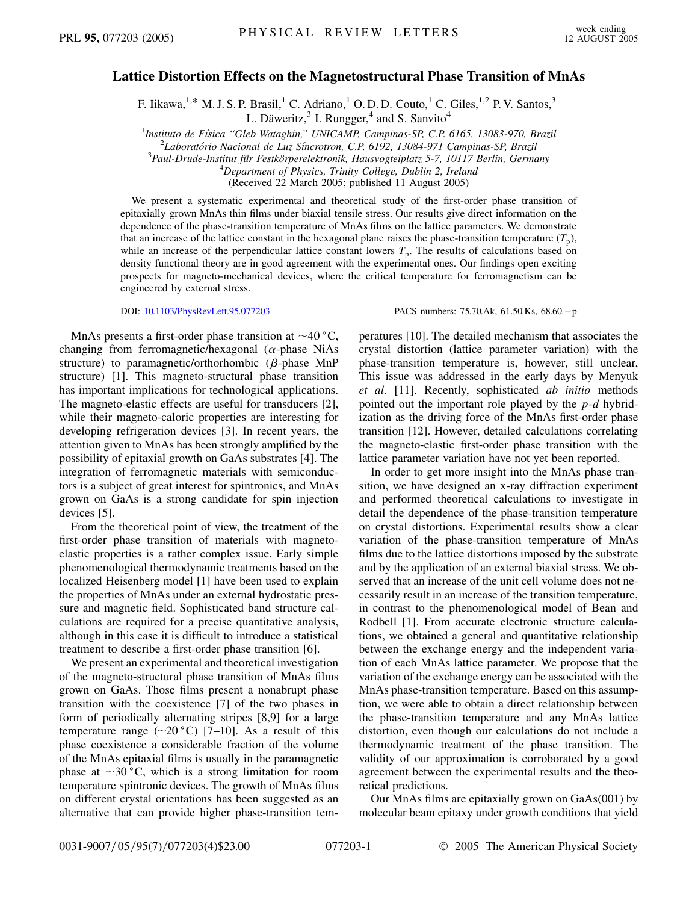## **Lattice Distortion Effects on the Magnetostructural Phase Transition of MnAs**

F. Iikawa, <sup>1,\*</sup> M. J. S. P. Brasil,<sup>1</sup> C. Adriano,<sup>1</sup> O. D. D. Couto,<sup>1</sup> C. Giles,<sup>1,2</sup> P. V. Santos,<sup>3</sup> L. Däweritz, $3$  I. Rungger, $4$  and S. Sanvito<sup>4</sup>

<sup>1</sup>Instituto de Física "Gleb Wataghin," UNICAMP, Campinas-SP, C.P. 6165, 13083-970, Brazil<sup>2</sup><br><sup>2</sup>I gheratérie Nacional de Lus Síneretron, C.P. 6102, 13084-071 Campinas SP, Prazil

*Laborato´rio Nacional de Luz Sı´ncrotron, C.P. 6192, 13084-971 Campinas-SP, Brazil* <sup>3</sup>

*Paul-Drude-Institut fu¨r Festko¨rperelektronik, Hausvogteiplatz 5-7, 10117 Berlin, Germany* <sup>4</sup>

*Department of Physics, Trinity College, Dublin 2, Ireland*

(Received 22 March 2005; published 11 August 2005)

We present a systematic experimental and theoretical study of the first-order phase transition of epitaxially grown MnAs thin films under biaxial tensile stress. Our results give direct information on the dependence of the phase-transition temperature of MnAs films on the lattice parameters. We demonstrate that an increase of the lattice constant in the hexagonal plane raises the phase-transition temperature  $(T_p)$ , while an increase of the perpendicular lattice constant lowers  $T_p$ . The results of calculations based on density functional theory are in good agreement with the experimental ones. Our findings open exciting prospects for magneto-mechanical devices, where the critical temperature for ferromagnetism can be engineered by external stress.

DOI: [10.1103/PhysRevLett.95.077203](http://dx.doi.org/10.1103/PhysRevLett.95.077203) PACS numbers: 75.70.Ak, 61.50.Ks, 68.60.-p

MnAs presents a first-order phase transition at  $\sim$ 40 °C, changing from ferromagnetic/hexagonal (*α*-phase NiAs structure) to paramagnetic/orthorhombic  $(\beta$ -phase MnP structure) [1]. This magneto-structural phase transition has important implications for technological applications. The magneto-elastic effects are useful for transducers [2], while their magneto-caloric properties are interesting for developing refrigeration devices [3]. In recent years, the attention given to MnAs has been strongly amplified by the possibility of epitaxial growth on GaAs substrates [4]. The integration of ferromagnetic materials with semiconductors is a subject of great interest for spintronics, and MnAs grown on GaAs is a strong candidate for spin injection devices [5].

From the theoretical point of view, the treatment of the first-order phase transition of materials with magnetoelastic properties is a rather complex issue. Early simple phenomenological thermodynamic treatments based on the localized Heisenberg model [1] have been used to explain the properties of MnAs under an external hydrostatic pressure and magnetic field. Sophisticated band structure calculations are required for a precise quantitative analysis, although in this case it is difficult to introduce a statistical treatment to describe a first-order phase transition [6].

We present an experimental and theoretical investigation of the magneto-structural phase transition of MnAs films grown on GaAs. Those films present a nonabrupt phase transition with the coexistence [7] of the two phases in form of periodically alternating stripes [8,9] for a large temperature range  $(\sim 20 \degree C)$  [7–10]. As a result of this phase coexistence a considerable fraction of the volume of the MnAs epitaxial films is usually in the paramagnetic phase at  $\sim$ 30 °C, which is a strong limitation for room temperature spintronic devices. The growth of MnAs films on different crystal orientations has been suggested as an alternative that can provide higher phase-transition temperatures [10]. The detailed mechanism that associates the crystal distortion (lattice parameter variation) with the phase-transition temperature is, however, still unclear, This issue was addressed in the early days by Menyuk *et al.* [11]. Recently, sophisticated *ab initio* methods pointed out the important role played by the *p*-*d* hybridization as the driving force of the MnAs first-order phase transition [12]. However, detailed calculations correlating the magneto-elastic first-order phase transition with the lattice parameter variation have not yet been reported.

In order to get more insight into the MnAs phase transition, we have designed an x-ray diffraction experiment and performed theoretical calculations to investigate in detail the dependence of the phase-transition temperature on crystal distortions. Experimental results show a clear variation of the phase-transition temperature of MnAs films due to the lattice distortions imposed by the substrate and by the application of an external biaxial stress. We observed that an increase of the unit cell volume does not necessarily result in an increase of the transition temperature, in contrast to the phenomenological model of Bean and Rodbell [1]. From accurate electronic structure calculations, we obtained a general and quantitative relationship between the exchange energy and the independent variation of each MnAs lattice parameter. We propose that the variation of the exchange energy can be associated with the MnAs phase-transition temperature. Based on this assumption, we were able to obtain a direct relationship between the phase-transition temperature and any MnAs lattice distortion, even though our calculations do not include a thermodynamic treatment of the phase transition. The validity of our approximation is corroborated by a good agreement between the experimental results and the theoretical predictions.

Our MnAs films are epitaxially grown on GaAs(001) by molecular beam epitaxy under growth conditions that yield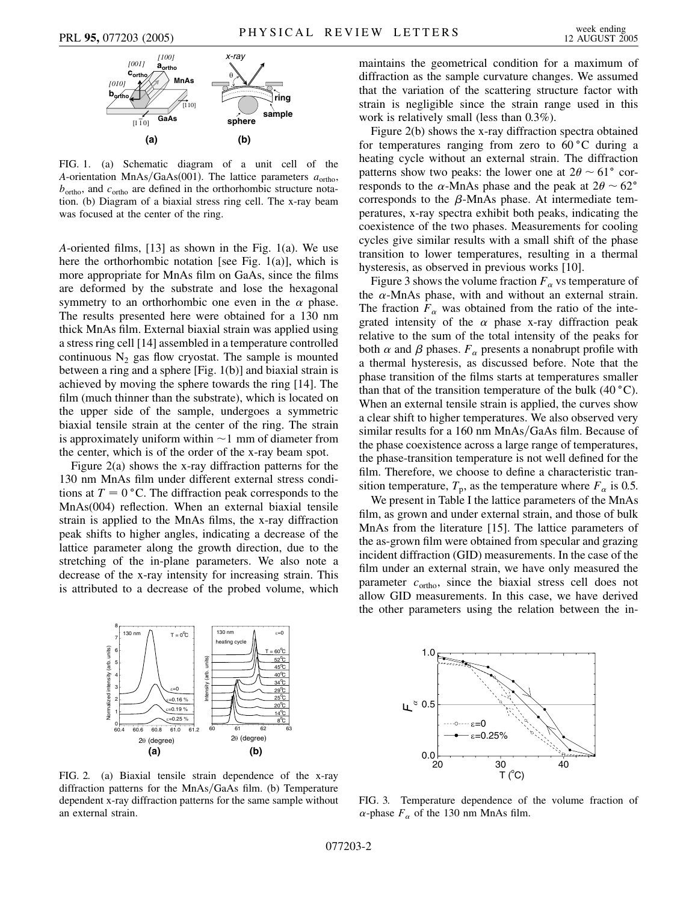

FIG. 1. (a) Schematic diagram of a unit cell of the *A*-orientation MnAs/GaAs(001). The lattice parameters  $a_{\text{ortho}}$ ,  $b<sub>ortho</sub>$ , and  $c<sub>ortho</sub>$  are defined in the orthorhombic structure notation. (b) Diagram of a biaxial stress ring cell. The x-ray beam was focused at the center of the ring.

*A*-oriented films, [13] as shown in the Fig. 1(a). We use here the orthorhombic notation [see Fig. 1(a)], which is more appropriate for MnAs film on GaAs, since the films are deformed by the substrate and lose the hexagonal symmetry to an orthorhombic one even in the  $\alpha$  phase. The results presented here were obtained for a 130 nm thick MnAs film. External biaxial strain was applied using a stress ring cell [14] assembled in a temperature controlled continuous  $N_2$  gas flow cryostat. The sample is mounted between a ring and a sphere [Fig. 1(b)] and biaxial strain is achieved by moving the sphere towards the ring [14]. The film (much thinner than the substrate), which is located on the upper side of the sample, undergoes a symmetric biaxial tensile strain at the center of the ring. The strain is approximately uniform within  $\sim$  1 mm of diameter from the center, which is of the order of the x-ray beam spot.

Figure 2(a) shows the x-ray diffraction patterns for the 130 nm MnAs film under different external stress conditions at  $T = 0$  °C. The diffraction peak corresponds to the MnAs(004) reflection. When an external biaxial tensile strain is applied to the MnAs films, the x-ray diffraction peak shifts to higher angles, indicating a decrease of the lattice parameter along the growth direction, due to the stretching of the in-plane parameters. We also note a decrease of the x-ray intensity for increasing strain. This is attributed to a decrease of the probed volume, which maintains the geometrical condition for a maximum of diffraction as the sample curvature changes. We assumed that the variation of the scattering structure factor with strain is negligible since the strain range used in this work is relatively small (less than 0.3%).

Figure 2(b) shows the x-ray diffraction spectra obtained for temperatures ranging from zero to  $60^{\circ}$ C during a heating cycle without an external strain. The diffraction patterns show two peaks: the lower one at  $2\theta \sim 61^{\circ}$  corresponds to the  $\alpha$ -MnAs phase and the peak at  $2\theta \sim 62^{\circ}$ corresponds to the  $\beta$ -MnAs phase. At intermediate temperatures, x-ray spectra exhibit both peaks, indicating the coexistence of the two phases. Measurements for cooling cycles give similar results with a small shift of the phase transition to lower temperatures, resulting in a thermal hysteresis, as observed in previous works [10].

Figure 3 shows the volume fraction  $F_\alpha$  vs temperature of the  $\alpha$ -MnAs phase, with and without an external strain. The fraction  $F_\alpha$  was obtained from the ratio of the integrated intensity of the  $\alpha$  phase x-ray diffraction peak relative to the sum of the total intensity of the peaks for both  $\alpha$  and  $\beta$  phases.  $F_{\alpha}$  presents a nonabrupt profile with a thermal hysteresis, as discussed before. Note that the phase transition of the films starts at temperatures smaller than that of the transition temperature of the bulk  $(40 °C)$ . When an external tensile strain is applied, the curves show a clear shift to higher temperatures. We also observed very similar results for a 160 nm MnAs/GaAs film. Because of the phase coexistence across a large range of temperatures, the phase-transition temperature is not well defined for the film. Therefore, we choose to define a characteristic transition temperature,  $T_p$ , as the temperature where  $F_\alpha$  is 0.5.

We present in Table I the lattice parameters of the MnAs film, as grown and under external strain, and those of bulk MnAs from the literature [15]. The lattice parameters of the as-grown film were obtained from specular and grazing incident diffraction (GID) measurements. In the case of the film under an external strain, we have only measured the parameter  $c_{\text{ortho}}$ , since the biaxial stress cell does not allow GID measurements. In this case, we have derived the other parameters using the relation between the in-



FIG. 2. (a) Biaxial tensile strain dependence of the x-ray diffraction patterns for the MnAs/GaAs film. (b) Temperature dependent x-ray diffraction patterns for the same sample without an external strain.



FIG. 3. Temperature dependence of the volume fraction of  $\alpha$ -phase  $F_{\alpha}$  of the 130 nm MnAs film.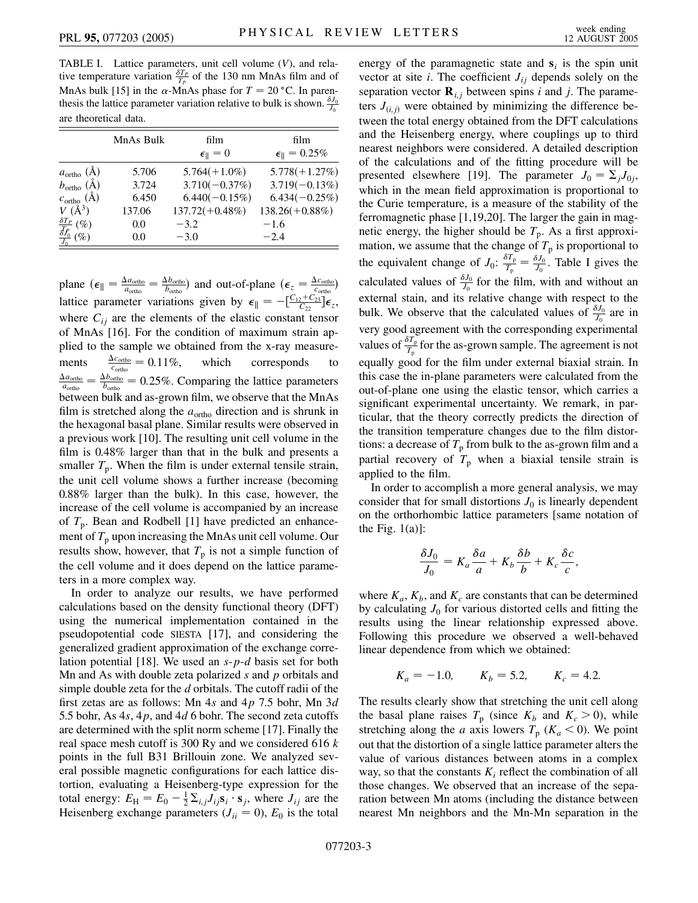TABLE I. Lattice parameters, unit cell volume (*V*), and relative temperature variation  $\frac{\delta T_P}{T_P}$  of the 130 nm MnAs film and of MnAs bulk [15] in the  $\alpha$ -MnAs phase for  $T = 20$  °C. In parenthesis the lattice parameter variation relative to bulk is shown.  $\frac{\delta J_0}{J_0}$ are theoretical data.

|                                                                                         | MnAs Bulk | film                     | film                            |
|-----------------------------------------------------------------------------------------|-----------|--------------------------|---------------------------------|
|                                                                                         |           | $\epsilon_{\parallel}=0$ | $\epsilon_{\parallel} = 0.25\%$ |
| $a_{\text{ortho}}(\AA)$                                                                 | 5.706     | $5.764(+1.0\%)$          | $5.778(+1.27%)$                 |
| $b_{\text{ortho}}(\AA)$                                                                 | 3.724     | $3.710(-0.37%)$          | $3.719(-0.13%)$                 |
| $c_{\text{ortho}}(\text{\AA})$                                                          | 6.450     | $6.440(-0.15\%)$         | $6.434(-0.25%)$                 |
| $V(\AA^3)$                                                                              | 137.06    | $137.72(+0.48\%)$        | $138.26(+0.88\%)$               |
|                                                                                         | 0.0       | $-3.2$                   | $-1.6$                          |
| $\frac{\frac{\delta T_P}{f_0}\left(\% \right)}{\frac{\delta f_0}{J_0}\left(\% \right)}$ | 0.0       | $-3.0$                   | $-2.4$                          |

plane  $(\epsilon_{\parallel} = \frac{\Delta a_{\text{ortho}}}{a_{\text{ortho}}} = \frac{\Delta b_{\text{ortho}}}{b_{\text{ortho}}}$  and out-of-plane  $(\epsilon_{z} = \frac{\Delta c_{\text{ortho}}}{c_{\text{ortho}}}$ lattice parameter variations given by  $\epsilon_{\parallel} = -\left[\frac{C_{12} + C_{23}}{C_{22}}\right] \epsilon_z$ , where  $C_{ij}$  are the elements of the elastic constant tensor of MnAs [16]. For the condition of maximum strain applied to the sample we obtained from the x-ray measurements  $\frac{\Delta c_{\text{ortho}}}{c_{\text{ortho}}} = 0.11\%,$  which corresponds to  $\frac{\Delta a_{\text{ortho}}}{a_{\text{ortho}}} = \frac{\Delta b_{\text{ortho}}}{b_{\text{ortho}}} = 0.25\%.$  Comparing the lattice parameters between bulk and as-grown film, we observe that the MnAs film is stretched along the  $a_{\text{ortho}}$  direction and is shrunk in the hexagonal basal plane. Similar results were observed in a previous work [10]. The resulting unit cell volume in the film is 0.48% larger than that in the bulk and presents a smaller  $T_p$ . When the film is under external tensile strain, the unit cell volume shows a further increase (becoming 0.88% larger than the bulk). In this case, however, the increase of the cell volume is accompanied by an increase of  $T_p$ . Bean and Rodbell [1] have predicted an enhancement of  $T_p$  upon increasing the MnAs unit cell volume. Our results show, however, that  $T_p$  is not a simple function of the cell volume and it does depend on the lattice parameters in a more complex way.

In order to analyze our results, we have performed calculations based on the density functional theory (DFT) using the numerical implementation contained in the pseudopotential code SIESTA [17], and considering the generalized gradient approximation of the exchange correlation potential [18]. We used an *s*-*p*-*d* basis set for both Mn and As with double zeta polarized *s* and *p* orbitals and simple double zeta for the *d* orbitals. The cutoff radii of the first zetas are as follows: Mn 4*s* and 4*p* 7.5 bohr, Mn 3*d* 5.5 bohr, As 4*s*, 4*p*, and 4*d* 6 bohr. The second zeta cutoffs are determined with the split norm scheme [17]. Finally the real space mesh cutoff is 300 Ry and we considered 616 *k* points in the full B31 Brillouin zone. We analyzed several possible magnetic configurations for each lattice distortion, evaluating a Heisenberg-type expression for the total energy:  $E_{\rm H} = E_0 - \frac{1}{2} \Sigma_{i,j} J_{ij} \mathbf{s}_i \cdot \mathbf{s}_j$ , where  $J_{ij}$  are the Heisenberg exchange parameters  $(J_{ii} = 0)$ ,  $E_0$  is the total

energy of the paramagnetic state and  $s_i$  is the spin unit vector at site  $i$ . The coefficient  $J_{ij}$  depends solely on the separation vector  $\mathbf{R}_{i,j}$  between spins *i* and *j*. The parameters  $J_{(i,j)}$  were obtained by minimizing the difference between the total energy obtained from the DFT calculations and the Heisenberg energy, where couplings up to third nearest neighbors were considered. A detailed description of the calculations and of the fitting procedure will be presented elsewhere [19]. The parameter  $J_0 = \sum_i J_{0i}$ , which in the mean field approximation is proportional to the Curie temperature, is a measure of the stability of the ferromagnetic phase [1,19,20]. The larger the gain in magnetic energy, the higher should be  $T_p$ . As a first approximation, we assume that the change of  $T_p$  is proportional to the equivalent change of  $J_0$ :  $\frac{\delta T_p}{T_p} = \frac{\delta J_0}{J_0}$ . Table I gives the calculated values of  $\frac{\delta J_0}{J_0}$  for the film, with and without an external stain, and its relative change with respect to the bulk. We observe that the calculated values of  $\frac{\delta J_0}{J_0}$  are in very good agreement with the corresponding experimental values of  $\frac{\delta T_{\rm p}}{T_{\rm p}}$  for the as-grown sample. The agreement is not equally good for the film under external biaxial strain. In this case the in-plane parameters were calculated from the out-of-plane one using the elastic tensor, which carries a significant experimental uncertainty. We remark, in particular, that the theory correctly predicts the direction of the transition temperature changes due to the film distortions: a decrease of  $T_p$  from bulk to the as-grown film and a partial recovery of  $T_p$  when a biaxial tensile strain is applied to the film.

In order to accomplish a more general analysis, we may consider that for small distortions  $J_0$  is linearly dependent on the orthorhombic lattice parameters [same notation of the Fig.  $1(a)$ :

$$
\frac{\delta J_0}{J_0} = K_a \frac{\delta a}{a} + K_b \frac{\delta b}{b} + K_c \frac{\delta c}{c},
$$

where  $K_a$ ,  $K_b$ , and  $K_c$  are constants that can be determined by calculating  $J_0$  for various distorted cells and fitting the results using the linear relationship expressed above. Following this procedure we observed a well-behaved linear dependence from which we obtained:

$$
K_a = -1.0,
$$
  $K_b = 5.2,$   $K_c = 4.2.$ 

The results clearly show that stretching the unit cell along the basal plane raises  $T_p$  (since  $K_b$  and  $K_c > 0$ ), while stretching along the *a* axis lowers  $T_p$  ( $K_a$  < 0). We point out that the distortion of a single lattice parameter alters the value of various distances between atoms in a complex way, so that the constants  $K_i$  reflect the combination of all those changes. We observed that an increase of the separation between Mn atoms (including the distance between nearest Mn neighbors and the Mn-Mn separation in the